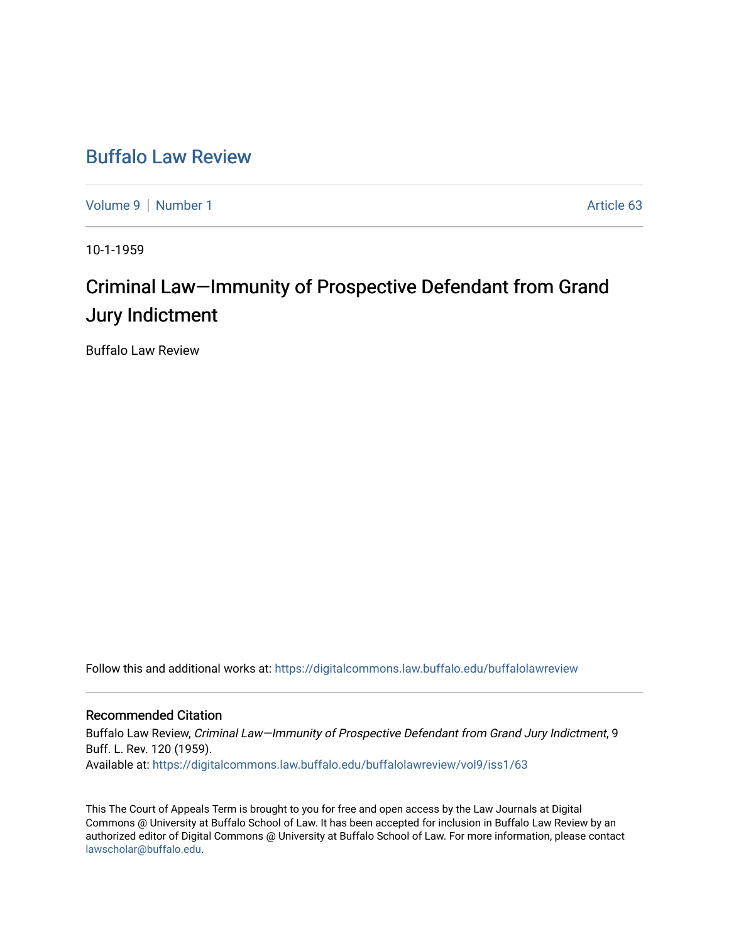# [Buffalo Law Review](https://digitalcommons.law.buffalo.edu/buffalolawreview)

[Volume 9](https://digitalcommons.law.buffalo.edu/buffalolawreview/vol9) | [Number 1](https://digitalcommons.law.buffalo.edu/buffalolawreview/vol9/iss1) Article 63

10-1-1959

# Criminal Law–Immunity of Prospective Defendant from Grand Jury Indictment

Buffalo Law Review

Follow this and additional works at: [https://digitalcommons.law.buffalo.edu/buffalolawreview](https://digitalcommons.law.buffalo.edu/buffalolawreview?utm_source=digitalcommons.law.buffalo.edu%2Fbuffalolawreview%2Fvol9%2Fiss1%2F63&utm_medium=PDF&utm_campaign=PDFCoverPages) 

## Recommended Citation

Buffalo Law Review, Criminal Law—Immunity of Prospective Defendant from Grand Jury Indictment, 9 Buff. L. Rev. 120 (1959). Available at: [https://digitalcommons.law.buffalo.edu/buffalolawreview/vol9/iss1/63](https://digitalcommons.law.buffalo.edu/buffalolawreview/vol9/iss1/63?utm_source=digitalcommons.law.buffalo.edu%2Fbuffalolawreview%2Fvol9%2Fiss1%2F63&utm_medium=PDF&utm_campaign=PDFCoverPages) 

This The Court of Appeals Term is brought to you for free and open access by the Law Journals at Digital Commons @ University at Buffalo School of Law. It has been accepted for inclusion in Buffalo Law Review by an authorized editor of Digital Commons @ University at Buffalo School of Law. For more information, please contact [lawscholar@buffalo.edu](mailto:lawscholar@buffalo.edu).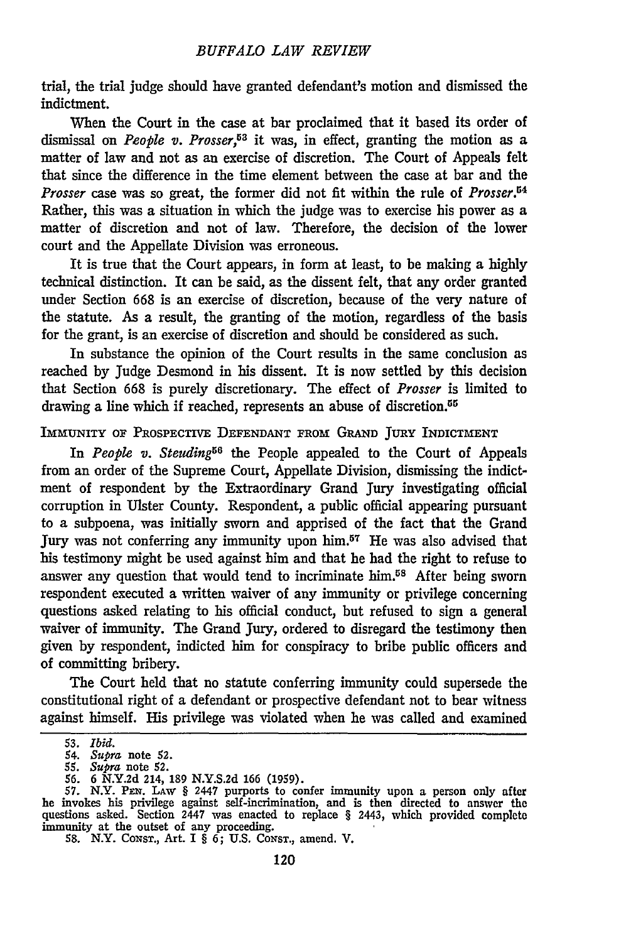trial, the trial judge should have granted defendant's motion and dismissed the indictment.

When the Court in the case at bar proclaimed that it based its order of dismissal on *People v. Prosser,53* it was, in effect, granting the motion as a matter of law and not as an exercise of discretion. The Court of Appeals felt that since the difference in the time element between the case at bar and the *Prosser* case was so great, the former did not fit within the rule of *Prosser.54* Rather, this was a situation in which the judge was to exercise his power as a matter of discretion and not of law. Therefore, the decision of the lower court and the Appellate Division was erroneous.

It is true that the Court appears, in form at least, to be making a highly technical distinction. It can be said, as the dissent felt, that any order granted under Section **668** is an exercise of discretion, because of the very nature of the statute. As a result, the granting of the motion, regardless of the basis for the grant, is an exercise of discretion and should be considered as such.

In substance the opinion of the Court results in the same conclusion as reached by Judge Desmond in his dissent. It is now settled by this decision that Section **668** is purely discretionary. The effect of *Prosser* is limited to drawing a line which if reached, represents an abuse of discretion.<sup>55</sup>

### IMmUNITY OF PROSPECTIVE DEFENDANT FROM GRAND JURY INDICTMENT

In *People v. Steuding*<sup>56</sup> the People appealed to the Court of Appeals from an order of the Supreme Court, Appellate Division, dismissing the indictment of respondent by the Extraordinary Grand Jury investigating official corruption in Ulster County. Respondent, a public official appearing pursuant to a subpoena, was initially sworn and apprised of the fact that the Grand Jury was not conferring any immunity upon him.57 He was also advised that his testimony might be used against him and that he had the right to refuse to answer any question that would tend to incriminate him.<sup>58</sup> After being sworn respondent executed a written waiver of any immunity or privilege concerning questions asked relating to his official conduct, but refused to sign a general waiver of immunity. The Grand Jury, ordered to disregard the testimony then given by respondent, indicted him for conspiracy to bribe public officers and of committing bribery.

The Court held that no statute conferring immunity could supersede the constitutional right of a defendant or prospective defendant not to bear witness against himself. His privilege was violated when he was called and examined

*<sup>53.</sup> Ibid.*

<sup>54.</sup> *Supra* note 52.

*<sup>55.</sup> Supra* note *52. 56.* 6 N.Y.2d 214, 189 N.Y.S.2d **166** (1959). *57.* N.Y. **PEN.** LAW § 2447 purports to confer immunity upon a person only after he invokes his privilege against self-incrimination, and is then directed to answer the questions asked. Section 2447 was enacted to replace § 2443, which provided complete immunity at the outset of any proceeding.

<sup>58.</sup> N.Y. Consr., Art. I  $\S$   $6$ ; U.S. Consr., amend. V.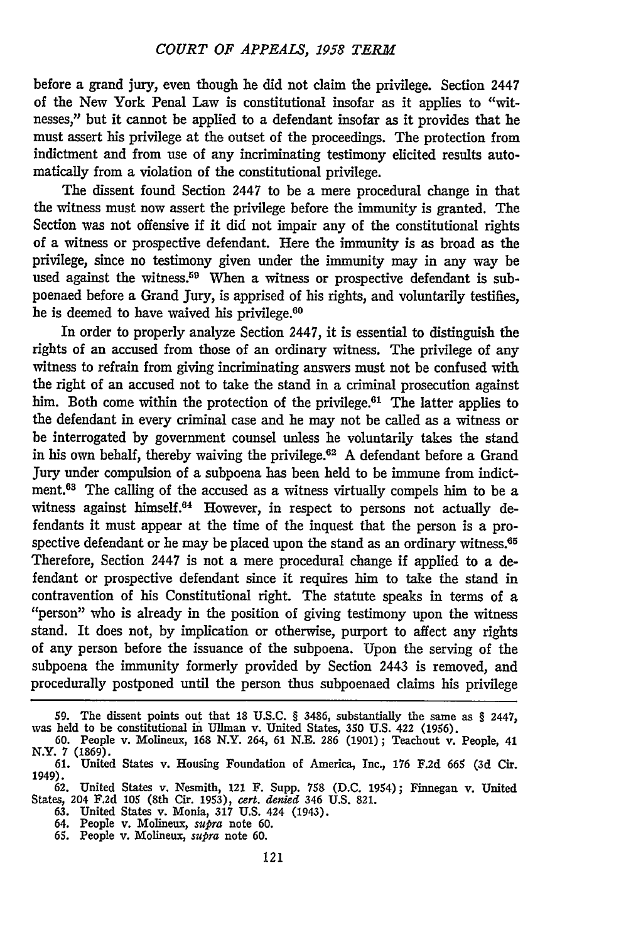before a grand jury, even though he did not claim the privilege. Section 2447 of the New York Penal Law is constitutional insofar as it applies to "witnesses," but it cannot be applied to a defendant insofar as it provides that he must assert his privilege at the outset of the proceedings. The protection from indictment and from use of any incriminating testimony elicited results automatically from a violation of the constitutional privilege.

The dissent found Section 2447 to be a mere procedural change in that the witness must now assert the privilege before the immunity is granted. The Section was not offensive if it did not impair any of the constitutional rights of a witness or prospective defendant. Here the immunity is as broad as the privilege, since no testimony given under the immunity may in any way be used against the witness.<sup>59</sup> When a witness or prospective defendant is subpoenaed before a Grand Jury, is apprised of his rights, and voluntarily testifies, he is deemed to have waived his privilege.<sup>60</sup>

In order to properly analyze Section 2447, it is essential to distinguish the rights of an accused from those of an ordinary witness. The privilege of any witness to refrain from giving incriminating answers must not be confused with the right of an accused not to take the stand in a criminal prosecution against him. Both come within the protection of the privilege.<sup>61</sup> The latter applies to the defendant in every criminal case and he may not be called as a witness or be interrogated by government counsel unless he voluntarily takes the stand in his own behalf, thereby waiving the privilege.<sup>62</sup> A defendant before a Grand Jury under compulsion of a subpoena has been held to be immune from indictment.<sup>63</sup> The calling of the accused as a witness virtually compels him to be a witness against himself.<sup>64</sup> However, in respect to persons not actually defendants it must appear at the time of the inquest that the person is a prospective defendant or he may be placed upon the stand as an ordinary witness. $65$ Therefore, Section 2447 is not a mere procedural change if applied to a defendant or prospective defendant since it requires him to take the stand in contravention of his Constitutional right. The statute speaks in terms of a "person" who is already in the position of giving testimony upon the witness stand. It does not, by implication or otherwise, purport to affect any rights of any person before the issuance of the subpoena. Upon the serving of the subpoena the immunity formerly provided by Section 2443 is removed, and procedurally postponed until the person thus subpoenaed claims his privilege

<sup>59.</sup> The dissent points out that 18 U.S.C. § 3486, substantially the same as § 2447, was held to be constitutional in Ullman v. United States, 350 U.S. 422 (1956).<br>1990. People v. Molineux, 168 N.Y. 264, 61 N.E. 286 (1901)

N.Y. 7 **(1869). 61.** United States v. Housing Foundation of America, Inc., **176** F.2d **665** (3d Cir.

<sup>1949).</sup>

**<sup>62.</sup>** United States v. Nesmith, 121 F. Supp. 758 (D.C. 1954); Finnegan v. United States, 204 F.2d **105** (8th Cir. 1953), *cert. denied* 346 U.S. 821. **63.** United States v. Monia, 317 U.S. 424 (1943).

<sup>64.</sup> People v. Molineux, *supra* note **60.** *65.* People v. Molineux, *supra* note **60.**